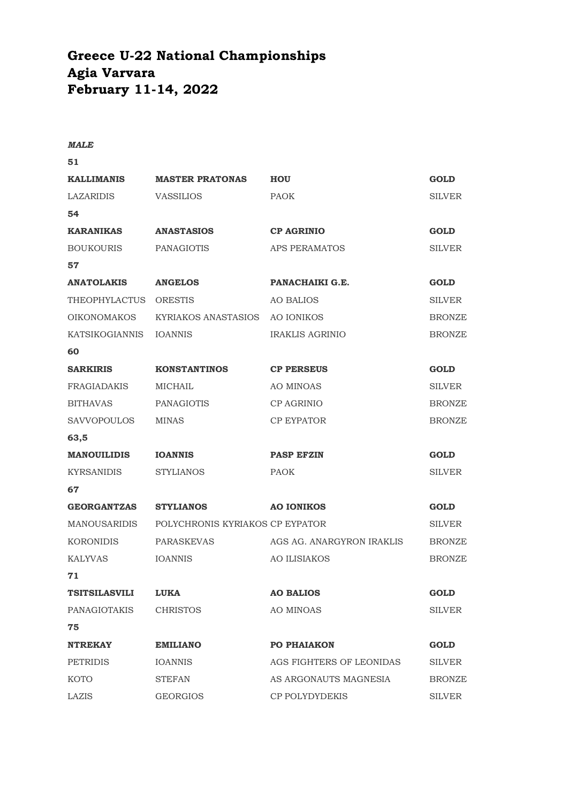## **Greece U-22 National Championships Agia Varvara February 11-14, 2022**

## *MALE*

**51 KALLIMANIS MASTER PRATONAS HOU GOLD** LAZARIDIS VASSILIOS PAOK SILVER **54 KARANIKAS ANASTASIOS CP AGRINIO GOLD** BOUKOURIS PANAGIOTIS APS PERAMATOS SILVER

**ANATOLAKIS ANGELOS PANACHAIKI G.E. GOLD** THEOPHYLACTUS ORESTIS AO BALIOS SILVER OIKONOMAKOS KYRIAKOS ANASTASIOS AO IONIKOS BRONZE KATSIKOGIANNIS IOANNIS IRAKLIS AGRINIO BRONZE

**60**

**67**

**71**

**57**

- **SARKIRIS KONSTANTINOS CP PERSEUS GOLD** FRAGIADAKIS MICHAIL AO MINOAS SILVER BITHAVAS PANAGIOTIS CP AGRINIO BRONZE
- **63,5 MANOUILIDIS IOANNIS PASP EFZIN GOLD** KYRSANIDIS STYLIANOS PAOK SILVER

SAVVOPOULOS MINAS CP EYPATOR BRONZE

- **GEORGANTZAS STYLIANOS AO IONIKOS GOLD** MANOUSARIDIS POLYCHRONIS KYRIAKOS CP EYPATOR SILVER KORONIDIS PARASKEVAS AGS AG. ANARGYRON IRAKLIS BRONZE KALYVAS IOANNIS AO ILISIAKOS BRONZE
- **TSITSILASVILI LUKA AO BALIOS GOLD** PANAGIOTAKIS CHRISTOS AO MINOAS SILVER **75 NTREKAY EMILIANO PO PHAIAKON GOLD** PETRIDIS IOANNIS AGS FIGHTERS OF LEONIDAS SILVER KOTO STEFAN AS ARGONAUTS MAGNESIA BRONZE

LAZIS GEORGIOS CP POLYDYDEKIS SILVER